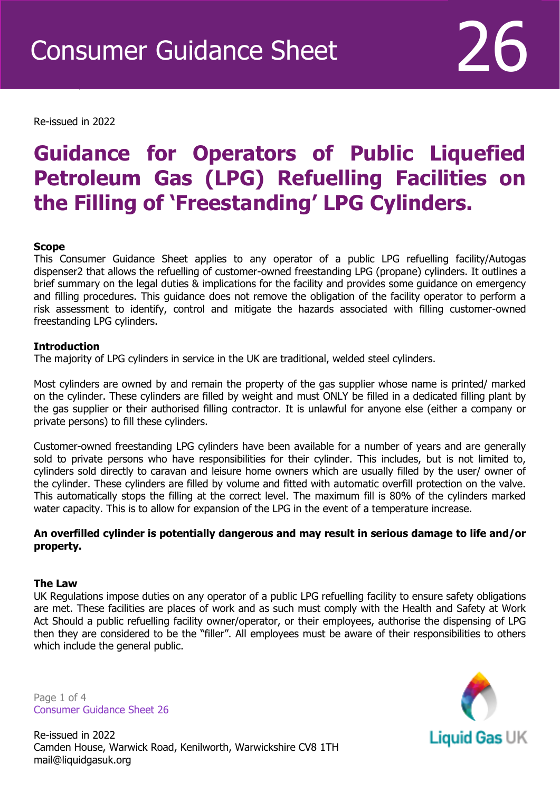Re-issued in 2022

Revised April 2016

# **Guidance for Operators of Public Liquefied Petroleum Gas (LPG) Refuelling Facilities on the Filling of 'Freestanding' LPG Cylinders.**

## **Scope**

This Consumer Guidance Sheet applies to any operator of a public LPG refuelling facility/Autogas dispenser2 that allows the refuelling of customer-owned freestanding LPG (propane) cylinders. It outlines a brief summary on the legal duties & implications for the facility and provides some guidance on emergency and filling procedures. This guidance does not remove the obligation of the facility operator to perform a risk assessment to identify, control and mitigate the hazards associated with filling customer-owned freestanding LPG cylinders.

#### **Introduction**

The majority of LPG cylinders in service in the UK are traditional, welded steel cylinders.

Most cylinders are owned by and remain the property of the gas supplier whose name is printed/ marked on the cylinder. These cylinders are filled by weight and must ONLY be filled in a dedicated filling plant by the gas supplier or their authorised filling contractor. It is unlawful for anyone else (either a company or private persons) to fill these cylinders.

Customer-owned freestanding LPG cylinders have been available for a number of years and are generally sold to private persons who have responsibilities for their cylinder. This includes, but is not limited to, cylinders sold directly to caravan and leisure home owners which are usually filled by the user/ owner of the cylinder. These cylinders are filled by volume and fitted with automatic overfill protection on the valve. This automatically stops the filling at the correct level. The maximum fill is 80% of the cylinders marked water capacity. This is to allow for expansion of the LPG in the event of a temperature increase.

## **An overfilled cylinder is potentially dangerous and may result in serious damage to life and/or property.**

#### **The Law**

UK Regulations impose duties on any operator of a public LPG refuelling facility to ensure safety obligations are met. These facilities are places of work and as such must comply with the Health and Safety at Work Act Should a public refuelling facility owner/operator, or their employees, authorise the dispensing of LPG then they are considered to be the "filler". All employees must be aware of their responsibilities to others which include the general public.

Page 1 of 4 Consumer Guidance Sheet 26



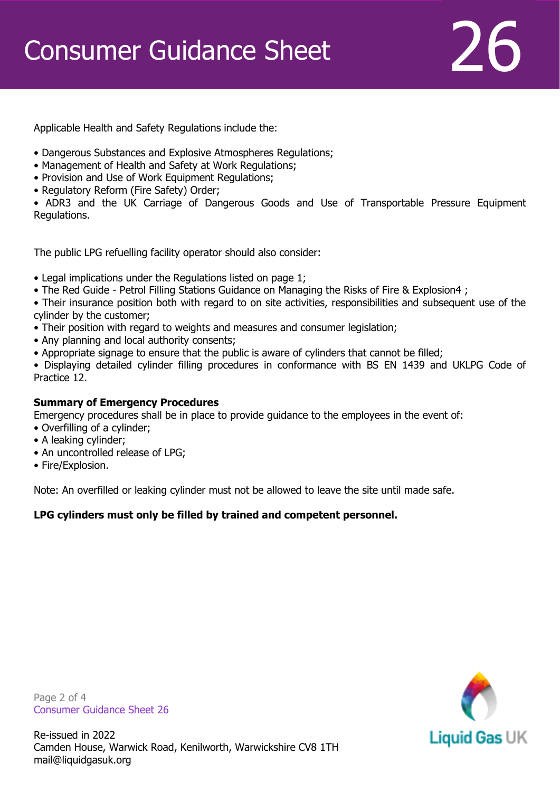Applicable Health and Safety Regulations include the:

- Dangerous Substances and Explosive Atmospheres Regulations;
- Management of Health and Safety at Work Regulations;
- Provision and Use of Work Equipment Regulations;
- Regulatory Reform (Fire Safety) Order;

• ADR3 and the UK Carriage of Dangerous Goods and Use of Transportable Pressure Equipment Regulations.

The public LPG refuelling facility operator should also consider:

- Legal implications under the Regulations listed on page 1;
- The Red Guide Petrol Filling Stations Guidance on Managing the Risks of Fire & Explosion4 ;

• Their insurance position both with regard to on site activities, responsibilities and subsequent use of the cylinder by the customer;

- Their position with regard to weights and measures and consumer legislation;
- Any planning and local authority consents;
- Appropriate signage to ensure that the public is aware of cylinders that cannot be filled;

• Displaying detailed cylinder filling procedures in conformance with BS EN 1439 and UKLPG Code of Practice 12.

# **Summary of Emergency Procedures**

Emergency procedures shall be in place to provide guidance to the employees in the event of:

- Overfilling of a cylinder;
- A leaking cylinder;
- An uncontrolled release of LPG;
- Fire/Explosion.

Note: An overfilled or leaking cylinder must not be allowed to leave the site until made safe.

# **LPG cylinders must only be filled by trained and competent personnel.**

Page 2 of 4 Consumer Guidance Sheet 26

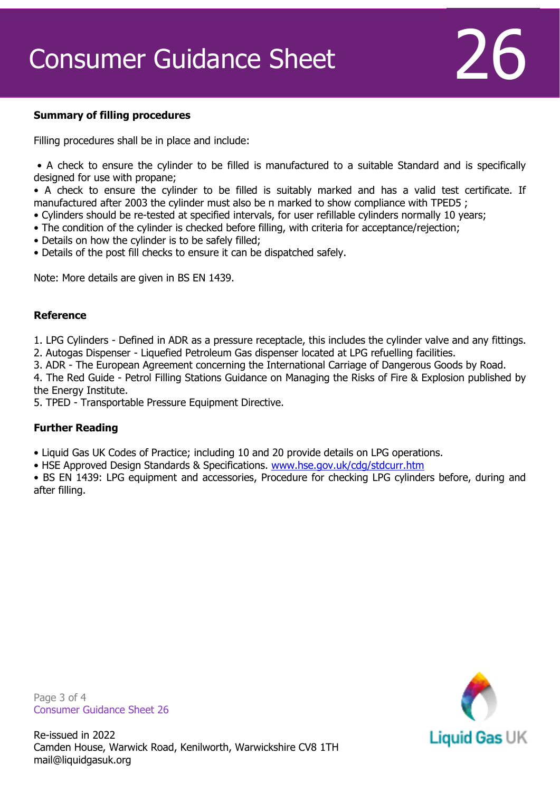# Consumer Guidance Sheet  $26$

## **Summary of filling procedures**

Filling procedures shall be in place and include:

• A check to ensure the cylinder to be filled is manufactured to a suitable Standard and is specifically designed for use with propane;

• A check to ensure the cylinder to be filled is suitably marked and has a valid test certificate. If manufactured after 2003 the cylinder must also be π marked to show compliance with TPED5 ;

- Cylinders should be re-tested at specified intervals, for user refillable cylinders normally 10 years;
- The condition of the cylinder is checked before filling, with criteria for acceptance/rejection;
- Details on how the cylinder is to be safely filled;
- Details of the post fill checks to ensure it can be dispatched safely.

Note: More details are given in BS EN 1439.

## **Reference**

1. LPG Cylinders - Defined in ADR as a pressure receptacle, this includes the cylinder valve and any fittings. 2. Autogas Dispenser - Liquefied Petroleum Gas dispenser located at LPG refuelling facilities.

3. ADR - The European Agreement concerning the International Carriage of Dangerous Goods by Road.

4. The Red Guide - Petrol Filling Stations Guidance on Managing the Risks of Fire & Explosion published by the Energy Institute.

5. TPED - Transportable Pressure Equipment Directive.

# **Further Reading**

• Liquid Gas UK Codes of Practice; including 10 and 20 provide details on LPG operations.

• HSE Approved Design Standards & Specifications. [www.hse.gov.uk/cdg/stdcurr.htm](http://www.hse.gov.uk/cdg/stdcurr.htm)

• BS EN 1439: LPG equipment and accessories, Procedure for checking LPG cylinders before, during and after filling.

Page 3 of 4 Consumer Guidance Sheet 26